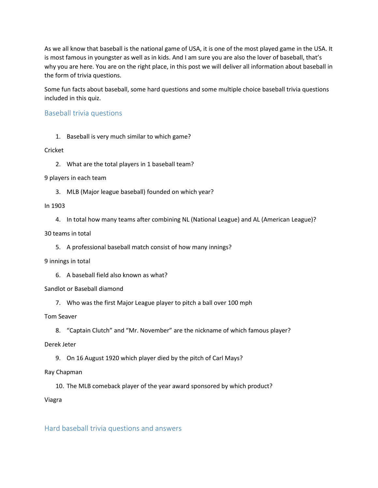As we all know that baseball is the national game of USA, it is one of the most played game in the USA. It is most famous in youngster as well as in kids. And I am sure you are also the lover of baseball, that's why you are here. You are on the right place, in this post we will deliver all information about baseball in the form of trivia questions.

Some fun facts about baseball, some hard questions and some multiple choice baseball trivia questions included in this quiz.

# Baseball trivia questions

1. Baseball is very much similar to which game?

## Cricket

2. What are the total players in 1 baseball team?

## 9 players in each team

3. MLB (Major league baseball) founded on which year?

## In 1903

4. In total how many teams after combining NL (National League) and AL (American League)?

## 30 teams in total

5. A professional baseball match consist of how many innings?

# 9 innings in total

6. A baseball field also known as what?

# Sandlot or Baseball diamond

7. Who was the first Major League player to pitch a ball over 100 mph

# Tom Seaver

8. "Captain Clutch" and "Mr. November" are the nickname of which famous player?

Derek Jeter

9. On 16 August 1920 which player died by the pitch of Carl Mays?

# Ray Chapman

10. The MLB comeback player of the year award sponsored by which product?

# Viagra

# Hard baseball trivia questions and answers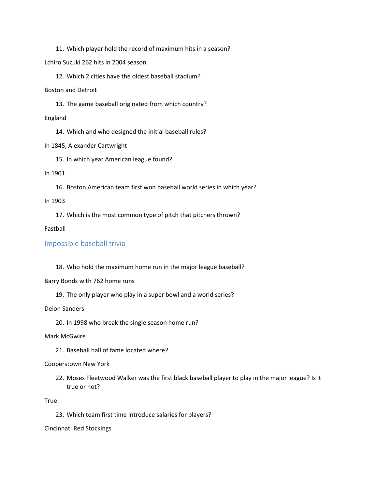11. Which player hold the record of maximum hits in a season?

Lchiro Suzuki 262 hits in 2004 season

12. Which 2 cities have the oldest baseball stadium?

Boston and Detroit

13. The game baseball originated from which country?

England

14. Which and who designed the initial baseball rules?

In 1845, Alexander Cartwright

15. In which year American league found?

## In 1901

16. Boston American team first won baseball world series in which year?

In 1903

17. Which is the most common type of pitch that pitchers thrown?

# Fastball

# Impossible baseball trivia

18. Who hold the maximum home run in the major league baseball?

Barry Bonds with 762 home runs

19. The only player who play in a super bowl and a world series?

Deion Sanders

20. In 1998 who break the single season home run?

Mark McGwire

21. Baseball hall of fame located where?

# Cooperstown New York

22. Moses Fleetwood Walker was the first black baseball player to play in the major league? Is it true or not?

True

23. Which team first time introduce salaries for players?

Cincinnati Red Stockings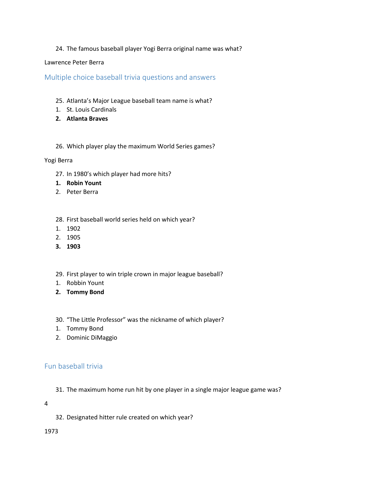# 24. The famous baseball player Yogi Berra original name was what?

# Lawrence Peter Berra

Multiple choice baseball trivia questions and answers

- 25. Atlanta's Major League baseball team name is what?
- 1. St. Louis Cardinals
- **2. Atlanta Braves**
- 26. Which player play the maximum World Series games?

## Yogi Berra

- 27. In 1980's which player had more hits?
- **1. Robin Yount**
- 2. Peter Berra
- 28. First baseball world series held on which year?
- 1. 1902
- 2. 1905
- **3. 1903**
- 29. First player to win triple crown in major league baseball?
- 1. Robbin Yount
- **2. Tommy Bond**
- 30. "The Little Professor" was the nickname of which player?
- 1. Tommy Bond
- 2. Dominic DiMaggio

# Fun baseball trivia

31. The maximum home run hit by one player in a single major league game was?

4

32. Designated hitter rule created on which year?

1973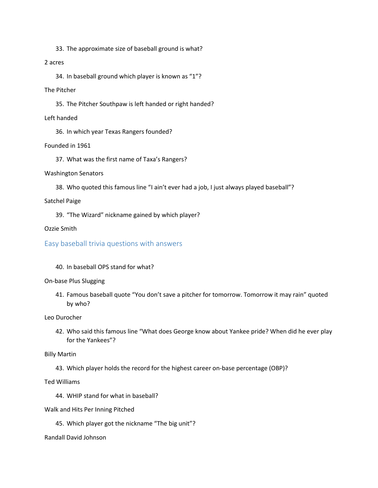33. The approximate size of baseball ground is what?

# 2 acres

34. In baseball ground which player is known as "1"?

#### The Pitcher

35. The Pitcher Southpaw is left handed or right handed?

#### Left handed

36. In which year Texas Rangers founded?

## Founded in 1961

37. What was the first name of Taxa's Rangers?

## Washington Senators

38. Who quoted this famous line "I ain't ever had a job, I just always played baseball"?

## Satchel Paige

39. "The Wizard" nickname gained by which player?

## Ozzie Smith

# Easy baseball trivia questions with answers

# 40. In baseball OPS stand for what?

#### On-base Plus Slugging

41. Famous baseball quote "You don't save a pitcher for tomorrow. Tomorrow it may rain" quoted by who?

Leo Durocher

42. Who said this famous line "What does George know about Yankee pride? When did he ever play for the Yankees"?

Billy Martin

43. Which player holds the record for the highest career on-base percentage (OBP)?

Ted Williams

- 44. WHIP stand for what in baseball?
- Walk and Hits Per Inning Pitched
	- 45. Which player got the nickname "The big unit"?

#### Randall David Johnson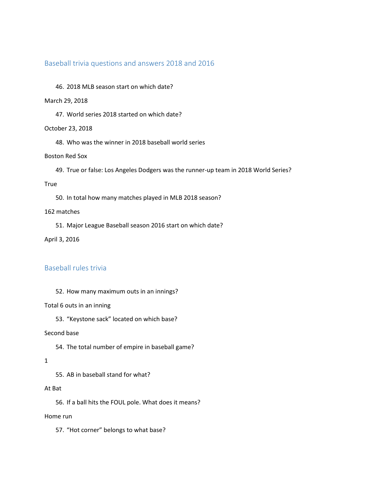# Baseball trivia questions and answers 2018 and 2016

46. 2018 MLB season start on which date?

#### March 29, 2018

47. World series 2018 started on which date?

#### October 23, 2018

48. Who was the winner in 2018 baseball world series

# Boston Red Sox

49. True or false: Los Angeles Dodgers was the runner-up team in 2018 World Series?

#### **True**

50. In total how many matches played in MLB 2018 season?

#### 162 matches

51. Major League Baseball season 2016 start on which date?

April 3, 2016

# Baseball rules trivia

52. How many maximum outs in an innings?

#### Total 6 outs in an inning

53. "Keystone sack" located on which base?

#### Second base

54. The total number of empire in baseball game?

#### 1

55. AB in baseball stand for what?

#### At Bat

56. If a ball hits the FOUL pole. What does it means?

#### Home run

57. "Hot corner" belongs to what base?